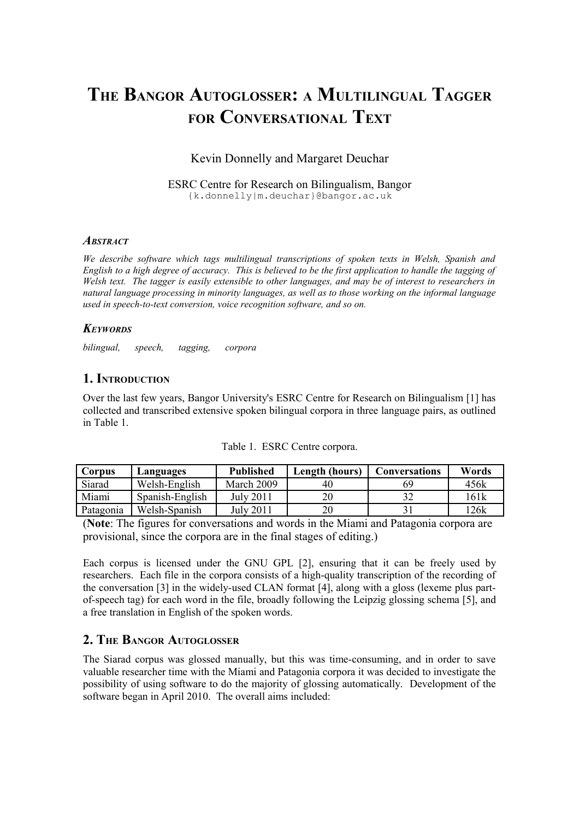# **THE BANGOR AUTOGLOSSER: A MULTILINGUAL TAGGER FOR CONVERSATIONAL TEXT**

# Kevin Donnelly and Margaret Deuchar

ESRC Centre for Research on Bilingualism, Bangor {k.donnelly|m.deuchar}@bangor.ac.uk

#### *ABSTRACT*

*We describe software which tags multilingual transcriptions of spoken texts in Welsh, Spanish and English to a high degree of accuracy. This is believed to be the first application to handle the tagging of Welsh text. The tagger is easily extensible to other languages, and may be of interest to researchers in natural language processing in minority languages, as well as to those working on the informal language used in speech-to-text conversion, voice recognition software, and so on.*

#### *KEYWORDS*

*bilingual, speech, tagging, corpora*

# **1. INTRODUCTION**

Over the last few years, Bangor University's ESRC Centre for Research on Bilingualism [1] has collected and transcribed extensive spoken bilingual corpora in three language pairs, as outlined in Table 1.

| Corpus    | Languages       | <b>Published</b> | Length (hours) | <b>Conversations</b> | Words |
|-----------|-----------------|------------------|----------------|----------------------|-------|
| Siarad    | Welsh-English   | March 2009       | 40             | 69                   | 456k  |
| Miami     | Spanish-English | July 2011        | 20             |                      | .61k  |
| Patagonia | Welsh-Spanish   | July 2011        | 20             |                      | '26k  |

|  | Table 1. ESRC Centre corpora. |
|--|-------------------------------|
|  |                               |

(**Note**: The figures for conversations and words in the Miami and Patagonia corpora are provisional, since the corpora are in the final stages of editing.)

Each corpus is licensed under the GNU GPL [2], ensuring that it can be freely used by researchers. Each file in the corpora consists of a high-quality transcription of the recording of the conversation [3] in the widely-used CLAN format [4], along with a gloss (lexeme plus partof-speech tag) for each word in the file, broadly following the Leipzig glossing schema [5], and a free translation in English of the spoken words.

# **2. THE BANGOR AUTOGLOSSER**

The Siarad corpus was glossed manually, but this was time-consuming, and in order to save valuable researcher time with the Miami and Patagonia corpora it was decided to investigate the possibility of using software to do the majority of glossing automatically. Development of the software began in April 2010. The overall aims included: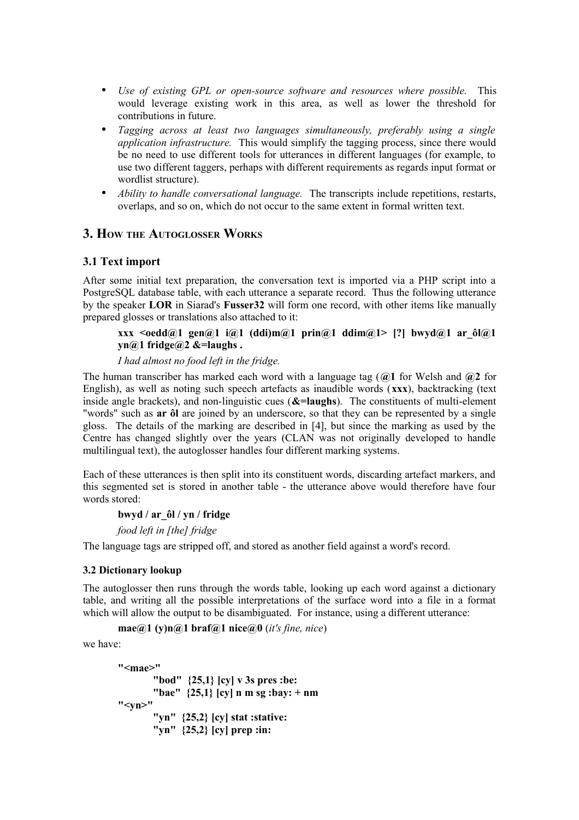- *Use of existing GPL or open-source software and resources where possible.* This would leverage existing work in this area, as well as lower the threshold for contributions in future.
- *Tagging across at least two languages simultaneously, preferably using a single application infrastructure.* This would simplify the tagging process, since there would be no need to use different tools for utterances in different languages (for example, to use two different taggers, perhaps with different requirements as regards input format or wordlist structure).
- *Ability to handle conversational language.* The transcripts include repetitions, restarts, overlaps, and so on, which do not occur to the same extent in formal written text.

# **3. HOW THE AUTOGLOSSER WORKS**

#### **3.1 Text import**

After some initial text preparation, the conversation text is imported via a PHP script into a PostgreSQL database table, with each utterance a separate record. Thus the following utterance by the speaker **LOR** in Siarad's **Fusser32** will form one record, with other items like manually prepared glosses or translations also attached to it:

#### **xxx <oedd@1 gen@1 i@1 (ddi)m@1 prin@1 ddim@1> [?] bwyd@1 ar\_ôl@1 yn@1 fridge@2 &=laughs .**

#### *I had almost no food left in the fridge.*

The human transcriber has marked each word with a language tag (**@1** for Welsh and **@2** for English), as well as noting such speech artefacts as inaudible words (**xxx**), backtracking (text inside angle brackets), and non-linguistic cues (**&=laughs**). The constituents of multi-element "words" such as **ar ôl** are joined by an underscore, so that they can be represented by a single gloss. The details of the marking are described in [4], but since the marking as used by the Centre has changed slightly over the years (CLAN was not originally developed to handle multilingual text), the autoglosser handles four different marking systems.

Each of these utterances is then split into its constituent words, discarding artefact markers, and this segmented set is stored in another table - the utterance above would therefore have four words stored:

#### **bwyd / ar\_ôl / yn / fridge**

*food left in [the] fridge*

The language tags are stripped off, and stored as another field against a word's record.

#### **3.2 Dictionary lookup**

The autoglosser then runs through the words table, looking up each word against a dictionary table, and writing all the possible interpretations of the surface word into a file in a format which will allow the output to be disambiguated. For instance, using a different utterance:

**mae@1 (y)n@1 braf@1 nice@0** (*it's fine, nice*)

we have:

```
"<mae>"
       "bod" {25,1} [cy] v 3s pres :be:
       "bae" {25,1} [cy] n m sg :bay: + nm
"<yn>"
       "yn" {25,2} [cy] stat :stative:
       "yn" {25,2} [cy] prep :in:
```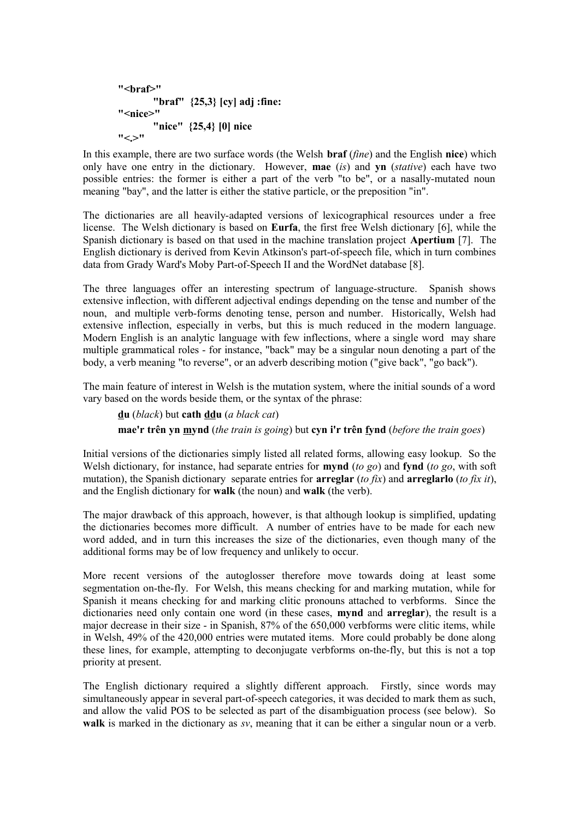```
"<braf>"
       "braf" {25,3} [cy] adj :fine:
"<nice>"
       "nice" {25,4} [0] nice
"
```
In this example, there are two surface words (the Welsh **braf** (*fine*) and the English **nice**) which only have one entry in the dictionary. However, **mae** (*is*) and **yn** (*stative*) each have two possible entries: the former is either a part of the verb "to be", or a nasally-mutated noun meaning "bay", and the latter is either the stative particle, or the preposition "in".

The dictionaries are all heavily-adapted versions of lexicographical resources under a free license. The Welsh dictionary is based on **Eurfa**, the first free Welsh dictionary [6], while the Spanish dictionary is based on that used in the machine translation project **Apertium** [7]. The English dictionary is derived from Kevin Atkinson's part-of-speech file, which in turn combines data from Grady Ward's Moby Part-of-Speech II and the WordNet database [8].

The three languages offer an interesting spectrum of language-structure. Spanish shows extensive inflection, with different adjectival endings depending on the tense and number of the noun, and multiple verb-forms denoting tense, person and number. Historically, Welsh had extensive inflection, especially in verbs, but this is much reduced in the modern language. Modern English is an analytic language with few inflections, where a single word may share multiple grammatical roles - for instance, "back" may be a singular noun denoting a part of the body, a verb meaning "to reverse", or an adverb describing motion ("give back", "go back").

The main feature of interest in Welsh is the mutation system, where the initial sounds of a word vary based on the words beside them, or the syntax of the phrase:

**du** (*black*) but **cath ddu** (*a black cat*)

**mae'r trên yn mynd** (*the train is going*) but **cyn i'r trên fynd** (*before the train goes*)

Initial versions of the dictionaries simply listed all related forms, allowing easy lookup. So the Welsh dictionary, for instance, had separate entries for **mynd** (*to go*) and **fynd** (*to go*, with soft mutation), the Spanish dictionary separate entries for **arreglar** (*to fix*) and **arreglarlo** (*to fix it*), and the English dictionary for **walk** (the noun) and **walk** (the verb).

The major drawback of this approach, however, is that although lookup is simplified, updating the dictionaries becomes more difficult. A number of entries have to be made for each new word added, and in turn this increases the size of the dictionaries, even though many of the additional forms may be of low frequency and unlikely to occur.

More recent versions of the autoglosser therefore move towards doing at least some segmentation on-the-fly. For Welsh, this means checking for and marking mutation, while for Spanish it means checking for and marking clitic pronouns attached to verbforms. Since the dictionaries need only contain one word (in these cases, **mynd** and **arreglar**), the result is a major decrease in their size - in Spanish, 87% of the 650,000 verbforms were clitic items, while in Welsh, 49% of the 420,000 entries were mutated items. More could probably be done along these lines, for example, attempting to deconjugate verbforms on-the-fly, but this is not a top priority at present.

The English dictionary required a slightly different approach. Firstly, since words may simultaneously appear in several part-of-speech categories, it was decided to mark them as such, and allow the valid POS to be selected as part of the disambiguation process (see below). So **walk** is marked in the dictionary as *sv*, meaning that it can be either a singular noun or a verb.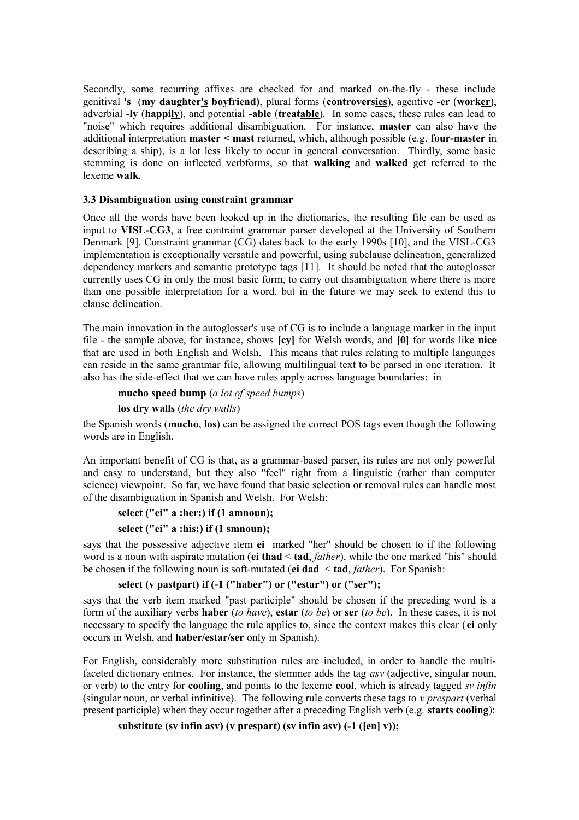Secondly, some recurring affixes are checked for and marked on-the-fly - these include genitival **'s** (**my daughter's boyfriend)**, plural forms (**controversies**), agentive **-er** (**worker**), adverbial **-ly** (**happily**), and potential **-able** (**treatable**). In some cases, these rules can lead to "noise" which requires additional disambiguation. For instance, **master** can also have the additional interpretation **master < mast** returned, which, although possible (e.g. **four-master** in describing a ship), is a lot less likely to occur in general conversation. Thirdly, some basic stemming is done on inflected verbforms, so that **walking** and **walked** get referred to the lexeme **walk**.

#### **3.3 Disambiguation using constraint grammar**

Once all the words have been looked up in the dictionaries, the resulting file can be used as input to **VISL-CG3**, a free contraint grammar parser developed at the University of Southern Denmark [9]. Constraint grammar (CG) dates back to the early 1990s [10], and the VISL-CG3 implementation is exceptionally versatile and powerful, using subclause delineation, generalized dependency markers and semantic prototype tags [11]. It should be noted that the autoglosser currently uses CG in only the most basic form, to carry out disambiguation where there is more than one possible interpretation for a word, but in the future we may seek to extend this to clause delineation.

The main innovation in the autoglosser's use of CG is to include a language marker in the input file - the sample above, for instance, shows **[cy]** for Welsh words, and **[0]** for words like **nice** that are used in both English and Welsh. This means that rules relating to multiple languages can reside in the same grammar file, allowing multilingual text to be parsed in one iteration. It also has the side-effect that we can have rules apply across language boundaries: in

**mucho speed bump** (*a lot of speed bumps*)

**los dry walls** (*the dry walls*)

the Spanish words (**mucho**, **los**) can be assigned the correct POS tags even though the following words are in English.

An important benefit of CG is that, as a grammar-based parser, its rules are not only powerful and easy to understand, but they also "feel" right from a linguistic (rather than computer science) viewpoint. So far, we have found that basic selection or removal rules can handle most of the disambiguation in Spanish and Welsh. For Welsh:

```
select ("ei" a :her:) if (1 amnoun);
```
#### **select ("ei" a :his:) if (1 smnoun);**

says that the possessive adjective item **ei** marked "her" should be chosen to if the following word is a noun with aspirate mutation (**ei thad** < **tad**, *father*), while the one marked "his" should be chosen if the following noun is soft-mutated (**ei dad** < **tad**, *father*). For Spanish:

### **select (v pastpart) if (-1 ("haber") or ("estar") or ("ser");**

says that the verb item marked "past participle" should be chosen if the preceding word is a form of the auxiliary verbs **haber** (*to have*), **estar** (*to be*) or **ser** (*to be*). In these cases, it is not necessary to specify the language the rule applies to, since the context makes this clear (**ei** only occurs in Welsh, and **haber/estar/ser** only in Spanish).

For English, considerably more substitution rules are included, in order to handle the multifaceted dictionary entries. For instance, the stemmer adds the tag *asv* (adjective, singular noun, or verb) to the entry for **cooling**, and points to the lexeme **cool**, which is already tagged *sv infin* (singular noun, or verbal infinitive). The following rule converts these tags to *v prespart* (verbal present participle) when they occur together after a preceding English verb (e.g. **starts cooling**):

#### **substitute (sv infin asv) (v prespart) (sv infin asv) (-1 ([en] v));**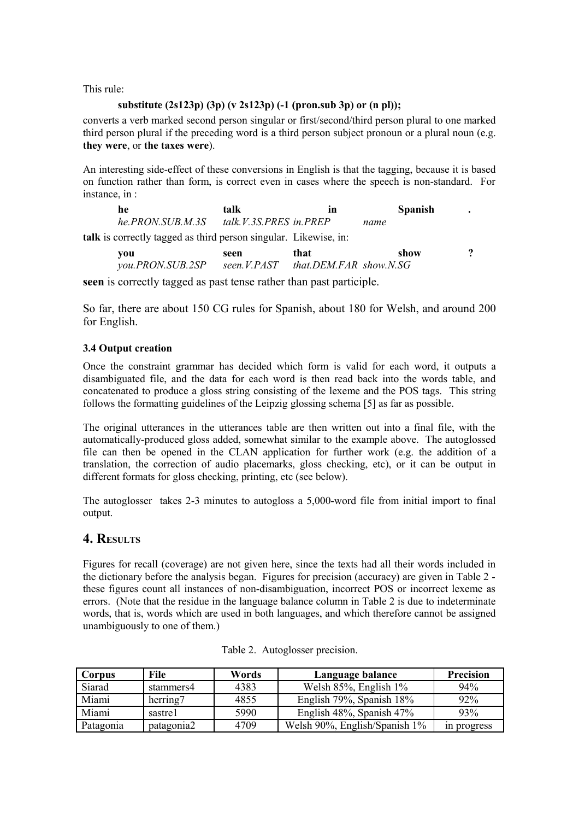This rule:

#### **substitute (2s123p) (3p) (v 2s123p) (-1 (pron.sub 3p) or (n pl));**

converts a verb marked second person singular or first/second/third person plural to one marked third person plural if the preceding word is a third person subject pronoun or a plural noun (e.g. **they were**, or **the taxes were**).

An interesting side-effect of these conversions in English is that the tagging, because it is based on function rather than form, is correct even in cases where the speech is non-standard. For instance, in :

**he talk in Spanish .** *he.PRON.SUB.M.3S talk.V.3S.PRES in.PREP name*  **talk** is correctly tagged as third person singular. Likewise, in: **you seen that show ?** *you.PRON.SUB.2SP seen.V.PAST that.DEM.FAR show.N.SG*

**seen** is correctly tagged as past tense rather than past participle.

So far, there are about 150 CG rules for Spanish, about 180 for Welsh, and around 200 for English.

#### **3.4 Output creation**

Once the constraint grammar has decided which form is valid for each word, it outputs a disambiguated file, and the data for each word is then read back into the words table, and concatenated to produce a gloss string consisting of the lexeme and the POS tags. This string follows the formatting guidelines of the Leipzig glossing schema [5] as far as possible.

The original utterances in the utterances table are then written out into a final file, with the automatically-produced gloss added, somewhat similar to the example above. The autoglossed file can then be opened in the CLAN application for further work (e.g. the addition of a translation, the correction of audio placemarks, gloss checking, etc), or it can be output in different formats for gloss checking, printing, etc (see below).

The autoglosser takes 2-3 minutes to autogloss a 5,000-word file from initial import to final output.

# **4. RESULTS**

Figures for recall (coverage) are not given here, since the texts had all their words included in the dictionary before the analysis began. Figures for precision (accuracy) are given in Table 2 these figures count all instances of non-disambiguation, incorrect POS or incorrect lexeme as errors. (Note that the residue in the language balance column in Table 2 is due to indeterminate words, that is, words which are used in both languages, and which therefore cannot be assigned unambiguously to one of them.)

| Corpus    | File       | Words | Language balance                | <b>Precision</b> |
|-----------|------------|-------|---------------------------------|------------------|
| Siarad    | stammers4  | 4383  | Welsh $85\%$ , English $1\%$    | 94%              |
| Miami     | herring7   | 4855  | English 79%, Spanish 18%        | 92%              |
| Miami     | sastre1    | 5990  | English $48\%$ , Spanish $47\%$ | 93%              |
| Patagonia | patagonia2 | 4709  | Welsh 90%, English/Spanish 1%   | in progress      |

Table 2. Autoglosser precision.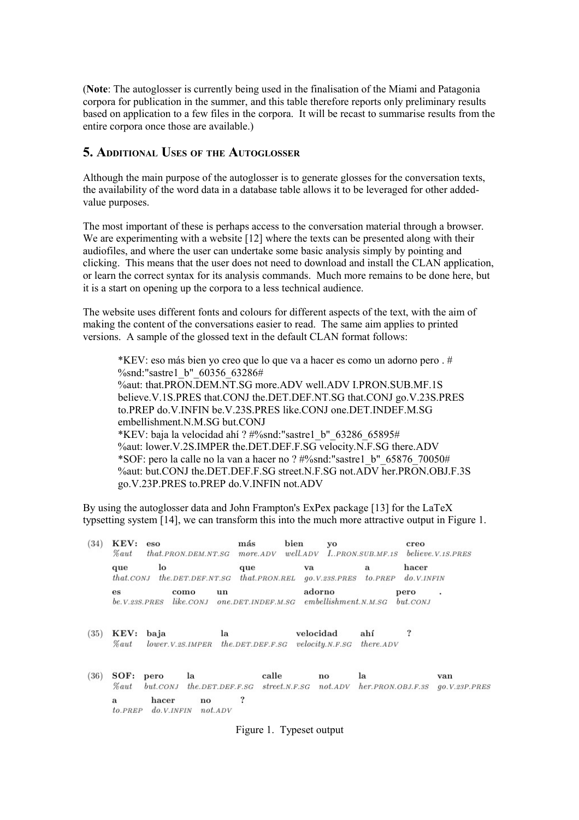(**Note**: The autoglosser is currently being used in the finalisation of the Miami and Patagonia corpora for publication in the summer, and this table therefore reports only preliminary results based on application to a few files in the corpora. It will be recast to summarise results from the entire corpora once those are available.)

#### **5. ADDITIONAL USES OF THE AUTOGLOSSER**

Although the main purpose of the autoglosser is to generate glosses for the conversation texts, the availability of the word data in a database table allows it to be leveraged for other addedvalue purposes.

The most important of these is perhaps access to the conversation material through a browser. We are experimenting with a website [12] where the texts can be presented along with their audiofiles, and where the user can undertake some basic analysis simply by pointing and clicking. This means that the user does not need to download and install the CLAN application, or learn the correct syntax for its analysis commands. Much more remains to be done here, but it is a start on opening up the corpora to a less technical audience.

The website uses different fonts and colours for different aspects of the text, with the aim of making the content of the conversations easier to read. The same aim applies to printed versions. A sample of the glossed text in the default CLAN format follows:

\*KEV: eso más bien yo creo que lo que va a hacer es como un adorno pero . # %snd:"sastre1\_b"\_60356\_63286# %aut: that.PRON.DEM.NT.SG more.ADV well.ADV I.PRON.SUB.MF.1S believe.V.1S.PRES that.CONJ the.DET.DEF.NT.SG that.CONJ go.V.23S.PRES to.PREP do.V.INFIN be.V.23S.PRES like.CONJ one.DET.INDEF.M.SG embellishment.N.M.SG but.CONJ \*KEV: baja la velocidad ahí ? #%snd:"sastre1\_b"\_63286\_65895# %aut: lower.V.2S.IMPER the.DET.DEF.F.SG velocity.N.F.SG there.ADV \*SOF: pero la calle no la van a hacer no ? #%snd:"sastre1\_b"\_65876\_70050# %aut: but.CONJ the.DET.DEF.F.SG street.N.F.SG not.ADV her.PRON.OBJ.F.3S go.V.23P.PRES to.PREP do.V.INFIN not.ADV

By using the autoglosser data and John Frampton's ExPex package [13] for the LaTeX typsetting system [14], we can transform this into the much more attractive output in Figure 1.

| (34) | $\mathbf K \mathbf E \mathbf V$ :<br><i>Laut</i> | eso                       | $that$ .PRON.DEM.NT.SG                       | más<br>more. ADV           | bien                   | yo<br>well.ADV I.PRON.SUB.MF.1S believe.V.1S.PRES |                           | creo                   |                        |
|------|--------------------------------------------------|---------------------------|----------------------------------------------|----------------------------|------------------------|---------------------------------------------------|---------------------------|------------------------|------------------------|
|      | que<br>$that$ , CONJ                             | lo                        | the. DET. DEF. NT. SG                        | que                        | $that$ <i>PRON.REL</i> | va<br><i><b>go.V.23S.PRES</b></i>                 | a<br>to.PREF              | hacer<br>do.V.INFIN    |                        |
|      | es<br>be. V. 23S. PRES                           |                           | un<br>como<br>$like$ . $CONJ$                |                            | one.DET.INDEF.M.SG     | adorno<br>embellishment.N.M.SG                    |                           | pero<br>$but$ . $CONJ$ | $\cdot$                |
| (35) | $\mathbf K \mathbf E \mathbf V$ :<br><i>Laut</i> | baja<br>lower.V.2S. IMPER | la                                           | the. DET. DEF.F. SG        |                        | velocidad<br>velocity.N.F.SG                      | ahí<br>$there$ <i>ADV</i> | ?                      |                        |
| (36) | SOF:<br><i><b>Zaut</b></i>                       | pero<br>$but$ . $CONJ$    | la<br>$the. DET. DEF.F.SG  \nstreet. N.F.SG$ |                            | calle                  | no<br>not. ADV                                    | la<br>her. PRON. OBJ.F.3S |                        | van<br>qo. V.23P. PRES |
|      | a<br>to.PREP                                     | hacer<br>do. V. INFIN     | no<br>not. ADV                               | $\boldsymbol{\mathcal{P}}$ |                        |                                                   |                           |                        |                        |

Figure 1. Typeset output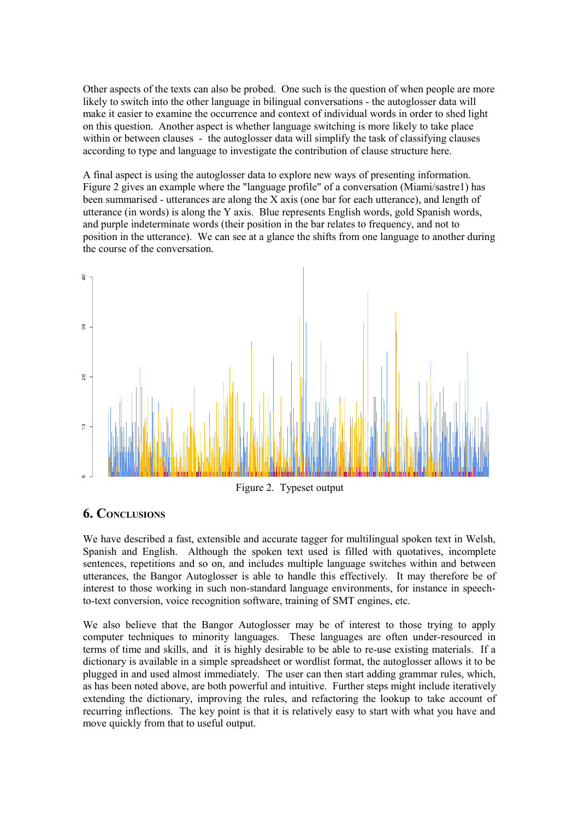Other aspects of the texts can also be probed. One such is the question of when people are more likely to switch into the other language in bilingual conversations - the autoglosser data will make it easier to examine the occurrence and context of individual words in order to shed light on this question. Another aspect is whether language switching is more likely to take place within or between clauses - the autoglosser data will simplify the task of classifying clauses according to type and language to investigate the contribution of clause structure here.

A final aspect is using the autoglosser data to explore new ways of presenting information. Figure 2 gives an example where the "language profile" of a conversation (Miami/sastre1) has been summarised - utterances are along the X axis (one bar for each utterance), and length of utterance (in words) is along the Y axis. Blue represents English words, gold Spanish words, and purple indeterminate words (their position in the bar relates to frequency, and not to position in the utterance). We can see at a glance the shifts from one language to another during the course of the conversation.



Figure 2. Typeset output

# **6. CONCLUSIONS**

We have described a fast, extensible and accurate tagger for multilingual spoken text in Welsh. Spanish and English. Although the spoken text used is filled with quotatives, incomplete sentences, repetitions and so on, and includes multiple language switches within and between utterances, the Bangor Autoglosser is able to handle this effectively. It may therefore be of interest to those working in such non-standard language environments, for instance in speechto-text conversion, voice recognition software, training of SMT engines, etc.

We also believe that the Bangor Autoglosser may be of interest to those trying to apply computer techniques to minority languages. These languages are often under-resourced in terms of time and skills, and it is highly desirable to be able to re-use existing materials. If a dictionary is available in a simple spreadsheet or wordlist format, the autoglosser allows it to be plugged in and used almost immediately. The user can then start adding grammar rules, which, as has been noted above, are both powerful and intuitive. Further steps might include iteratively extending the dictionary, improving the rules, and refactoring the lookup to take account of recurring inflections. The key point is that it is relatively easy to start with what you have and move quickly from that to useful output.